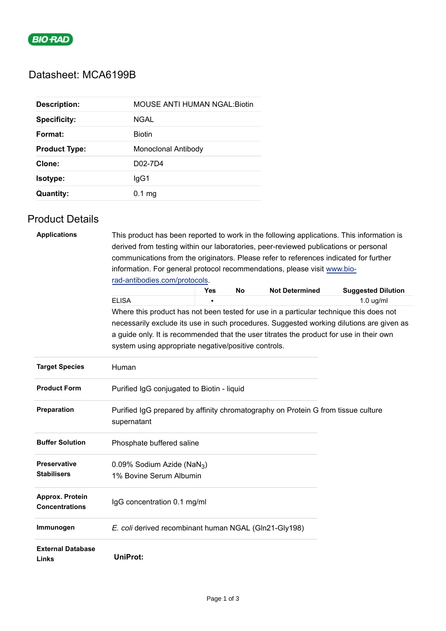

## Datasheet: MCA6199B

| <b>Description:</b>  | <b>MOUSE ANTI HUMAN NGAL:Biotin</b> |
|----------------------|-------------------------------------|
| <b>Specificity:</b>  | NGAL                                |
| Format:              | <b>Biotin</b>                       |
| <b>Product Type:</b> | Monoclonal Antibody                 |
| Clone:               | D02-7D4                             |
| Isotype:             | lgG1                                |
| <b>Quantity:</b>     | $0.1$ mg                            |

### Product Details

| <b>Applications</b>                      | This product has been reported to work in the following applications. This information is<br>derived from testing within our laboratories, peer-reviewed publications or personal<br>communications from the originators. Please refer to references indicated for further<br>information. For general protocol recommendations, please visit www.bio- |     |    |                       |                                                                                          |  |  |
|------------------------------------------|--------------------------------------------------------------------------------------------------------------------------------------------------------------------------------------------------------------------------------------------------------------------------------------------------------------------------------------------------------|-----|----|-----------------------|------------------------------------------------------------------------------------------|--|--|
|                                          |                                                                                                                                                                                                                                                                                                                                                        |     |    |                       |                                                                                          |  |  |
|                                          | rad-antibodies.com/protocols.                                                                                                                                                                                                                                                                                                                          |     |    |                       |                                                                                          |  |  |
|                                          |                                                                                                                                                                                                                                                                                                                                                        | Yes | No | <b>Not Determined</b> | <b>Suggested Dilution</b>                                                                |  |  |
|                                          | <b>ELISA</b>                                                                                                                                                                                                                                                                                                                                           |     |    |                       | $1.0$ ug/ml                                                                              |  |  |
|                                          | Where this product has not been tested for use in a particular technique this does not                                                                                                                                                                                                                                                                 |     |    |                       |                                                                                          |  |  |
|                                          | a guide only. It is recommended that the user titrates the product for use in their own<br>system using appropriate negative/positive controls.                                                                                                                                                                                                        |     |    |                       | necessarily exclude its use in such procedures. Suggested working dilutions are given as |  |  |
| <b>Target Species</b>                    | Human                                                                                                                                                                                                                                                                                                                                                  |     |    |                       |                                                                                          |  |  |
| <b>Product Form</b>                      | Purified IgG conjugated to Biotin - liquid                                                                                                                                                                                                                                                                                                             |     |    |                       |                                                                                          |  |  |
| <b>Preparation</b>                       | Purified IgG prepared by affinity chromatography on Protein G from tissue culture<br>supernatant                                                                                                                                                                                                                                                       |     |    |                       |                                                                                          |  |  |
| <b>Buffer Solution</b>                   | Phosphate buffered saline                                                                                                                                                                                                                                                                                                                              |     |    |                       |                                                                                          |  |  |
| <b>Preservative</b>                      | 0.09% Sodium Azide (NaN <sub>3</sub> )                                                                                                                                                                                                                                                                                                                 |     |    |                       |                                                                                          |  |  |
| <b>Stabilisers</b>                       | 1% Bovine Serum Albumin                                                                                                                                                                                                                                                                                                                                |     |    |                       |                                                                                          |  |  |
| Approx. Protein<br><b>Concentrations</b> | IgG concentration 0.1 mg/ml                                                                                                                                                                                                                                                                                                                            |     |    |                       |                                                                                          |  |  |
| Immunogen                                | E. coli derived recombinant human NGAL (Gln21-Gly198)                                                                                                                                                                                                                                                                                                  |     |    |                       |                                                                                          |  |  |
| <b>External Database</b><br>Links        | <b>UniProt:</b>                                                                                                                                                                                                                                                                                                                                        |     |    |                       |                                                                                          |  |  |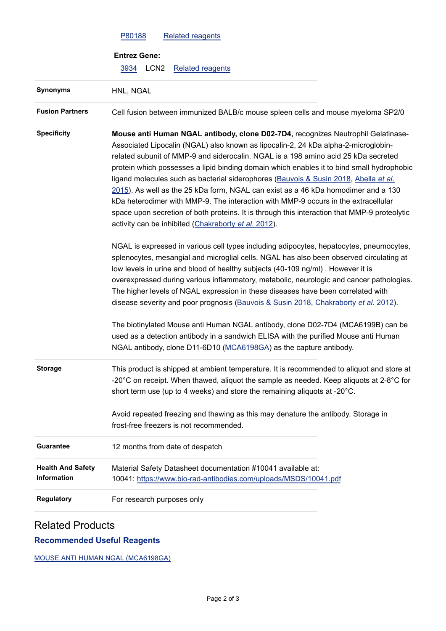|                                                | P80188<br><b>Related reagents</b>                                                                                                                                                                                                                                                                                                                                                                                                                                                                                                                                                                                                                                                                                                                                                    |
|------------------------------------------------|--------------------------------------------------------------------------------------------------------------------------------------------------------------------------------------------------------------------------------------------------------------------------------------------------------------------------------------------------------------------------------------------------------------------------------------------------------------------------------------------------------------------------------------------------------------------------------------------------------------------------------------------------------------------------------------------------------------------------------------------------------------------------------------|
|                                                | <b>Entrez Gene:</b>                                                                                                                                                                                                                                                                                                                                                                                                                                                                                                                                                                                                                                                                                                                                                                  |
|                                                | LCN <sub>2</sub><br>3934<br><b>Related reagents</b>                                                                                                                                                                                                                                                                                                                                                                                                                                                                                                                                                                                                                                                                                                                                  |
| <b>Synonyms</b>                                | HNL, NGAL                                                                                                                                                                                                                                                                                                                                                                                                                                                                                                                                                                                                                                                                                                                                                                            |
| <b>Fusion Partners</b>                         | Cell fusion between immunized BALB/c mouse spleen cells and mouse myeloma SP2/0                                                                                                                                                                                                                                                                                                                                                                                                                                                                                                                                                                                                                                                                                                      |
| <b>Specificity</b>                             | Mouse anti Human NGAL antibody, clone D02-7D4, recognizes Neutrophil Gelatinase-<br>Associated Lipocalin (NGAL) also known as lipocalin-2, 24 kDa alpha-2-microglobin-<br>related subunit of MMP-9 and siderocalin. NGAL is a 198 amino acid 25 kDa secreted<br>protein which possesses a lipid binding domain which enables it to bind small hydrophobic<br>ligand molecules such as bacterial siderophores (Bauvois & Susin 2018, Abella et al.<br>2015). As well as the 25 kDa form, NGAL can exist as a 46 kDa homodimer and a 130<br>kDa heterodimer with MMP-9. The interaction with MMP-9 occurs in the extracellular<br>space upon secretion of both proteins. It is through this interaction that MMP-9 proteolytic<br>activity can be inhibited (Chakraborty et al. 2012). |
|                                                | NGAL is expressed in various cell types including adipocytes, hepatocytes, pneumocytes,<br>splenocytes, mesangial and microglial cells. NGAL has also been observed circulating at<br>low levels in urine and blood of healthy subjects (40-109 ng/ml). However it is<br>overexpressed during various inflammatory, metabolic, neurologic and cancer pathologies.<br>The higher levels of NGAL expression in these diseases have been correlated with<br>disease severity and poor prognosis (Bauvois & Susin 2018, Chakraborty et al. 2012).                                                                                                                                                                                                                                        |
|                                                | The biotinylated Mouse anti Human NGAL antibody, clone D02-7D4 (MCA6199B) can be<br>used as a detection antibody in a sandwich ELISA with the purified Mouse anti Human<br>NGAL antibody, clone D11-6D10 (MCA6198GA) as the capture antibody.                                                                                                                                                                                                                                                                                                                                                                                                                                                                                                                                        |
| <b>Storage</b>                                 | This product is shipped at ambient temperature. It is recommended to aliquot and store at<br>-20 $^{\circ}$ C on receipt. When thawed, aliquot the sample as needed. Keep aliquots at 2-8 $^{\circ}$ C for<br>short term use (up to 4 weeks) and store the remaining aliquots at -20°C.                                                                                                                                                                                                                                                                                                                                                                                                                                                                                              |
|                                                | Avoid repeated freezing and thawing as this may denature the antibody. Storage in<br>frost-free freezers is not recommended.                                                                                                                                                                                                                                                                                                                                                                                                                                                                                                                                                                                                                                                         |
| <b>Guarantee</b>                               | 12 months from date of despatch                                                                                                                                                                                                                                                                                                                                                                                                                                                                                                                                                                                                                                                                                                                                                      |
| <b>Health And Safety</b><br><b>Information</b> | Material Safety Datasheet documentation #10041 available at:<br>10041: https://www.bio-rad-antibodies.com/uploads/MSDS/10041.pdf                                                                                                                                                                                                                                                                                                                                                                                                                                                                                                                                                                                                                                                     |
| Regulatory                                     | For research purposes only                                                                                                                                                                                                                                                                                                                                                                                                                                                                                                                                                                                                                                                                                                                                                           |

# Related Products

## **Recommended Useful Reagents**

[MOUSE ANTI HUMAN NGAL \(MCA6198GA\)](https://www.bio-rad-antibodies.com/monoclonal/human-ngal-antibody-d11-6d10-mca6198.html)